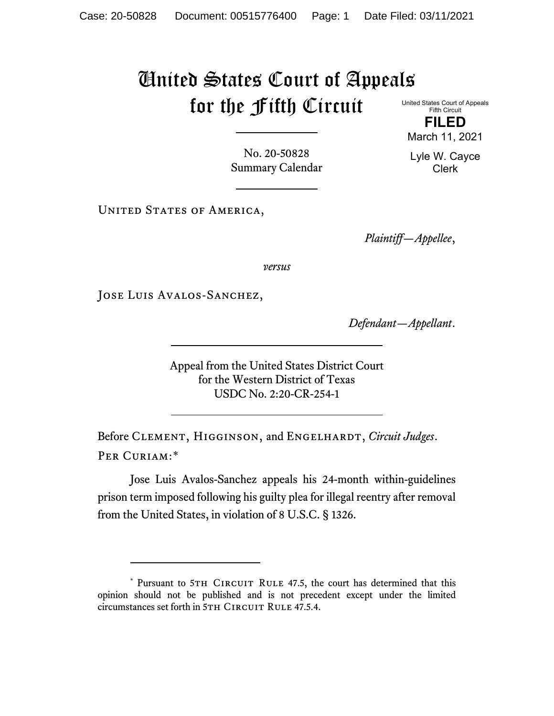## United States Court of Appeals for the Fifth Circuit

United States Court of Appeals Fifth Circuit **FILED**

March 11, 2021

Lyle W. Cayce Clerk

No. 20-50828 Summary Calendar

UNITED STATES OF AMERICA,

*Plaintiff—Appellee*,

*versus*

JOSE LUIS AVALOS-SANCHEZ,

*Defendant—Appellant*.

Appeal from the United States District Court for the Western District of Texas USDC No. 2:20-CR-254-1

Before CLEMENT, HIGGINSON, and ENGELHARDT, *Circuit Judges*. Per Curiam:[\\*](#page-0-0)

Jose Luis Avalos-Sanchez appeals his 24-month within-guidelines prison term imposed following his guilty plea for illegal reentry after removal from the United States, in violation of 8 U.S.C. § 1326.

<span id="page-0-0"></span><sup>\*</sup> Pursuant to 5TH CIRCUIT RULE 47.5, the court has determined that this opinion should not be published and is not precedent except under the limited circumstances set forth in 5TH CIRCUIT RULE 47.5.4.